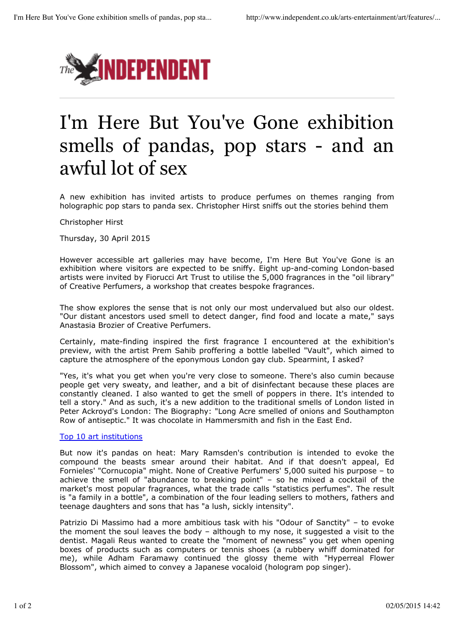

## I'm Here But You've Gone exhibition smells of pandas, pop stars - and an awful lot of sex

A new exhibition has invited artists to produce perfumes on themes ranging from holographic pop stars to panda sex. Christopher Hirst sniffs out the stories behind them

Christopher Hirst

Thursday, 30 April 2015

However accessible art galleries may have become, I'm Here But You've Gone is an exhibition where visitors are expected to be sniffy. Eight up-and-coming London-based artists were invited by Fiorucci Art Trust to utilise the 5,000 fragrances in the "oil library" of Creative Perfumers, a workshop that creates bespoke fragrances.

The show explores the sense that is not only our most undervalued but also our oldest. "Our distant ancestors used smell to detect danger, find food and locate a mate," says Anastasia Brozier of Creative Perfumers.

Certainly, mate-finding inspired the first fragrance I encountered at the exhibition's preview, with the artist Prem Sahib proffering a bottle labelled "Vault", which aimed to capture the atmosphere of the eponymous London gay club. Spearmint, I asked?

"Yes, it's what you get when you're very close to someone. There's also cumin because people get very sweaty, and leather, and a bit of disinfectant because these places are constantly cleaned. I also wanted to get the smell of poppers in there. It's intended to tell a story." And as such, it's a new addition to the traditional smells of London listed in Peter Ackroyd's London: The Biography: "Long Acre smelled of onions and Southampton Row of antiseptic." It was chocolate in Hammersmith and fish in the East End.

## Top 10 art institutions

But now it's pandas on heat: Mary Ramsden's contribution is intended to evoke the compound the beasts smear around their habitat. And if that doesn't appeal, Ed Fornieles' "Cornucopia" might. None of Creative Perfumers' 5,000 suited his purpose – to achieve the smell of "abundance to breaking point" – so he mixed a cocktail of the market's most popular fragrances, what the trade calls "statistics perfumes". The result is "a family in a bottle", a combination of the four leading sellers to mothers, fathers and teenage daughters and sons that has "a lush, sickly intensity".

Patrizio Di Massimo had a more ambitious task with his "Odour of Sanctity" – to evoke the moment the soul leaves the body – although to my nose, it suggested a visit to the dentist. Magali Reus wanted to create the "moment of newness" you get when opening boxes of products such as computers or tennis shoes (a rubbery whiff dominated for me), while Adham Faramawy continued the glossy theme with "Hyperreal Flower Blossom", which aimed to convey a Japanese vocaloid (hologram pop singer).